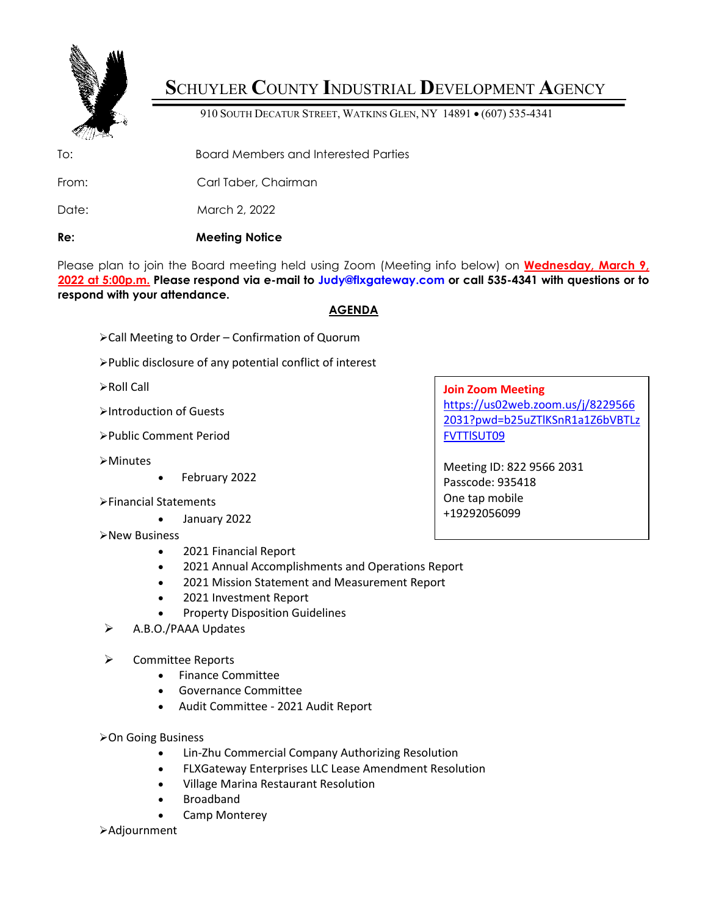

# **S**CHUYLER **C**OUNTY **I**NDUSTRIAL **D**EVELOPMENT **A**GENCY

910 SOUTH DECATUR STREET, WATKINS GLEN, NY 14891 • (607) 535-4341

To: Board Members and Interested Parties

From: Carl Taber, Chairman

Date: March 2, 2022

## **Re: Meeting Notice**

Please plan to join the Board meeting held using Zoom (Meeting info below) on **Wednesday, March 9, 2022 at 5:00p.m. Please respond via e-mail to Judy@flxgateway.com or call 535-4341 with questions or to respond with your attendance.**

## **AGENDA**

- Call Meeting to Order Confirmation of Quorum
- Public disclosure of any potential conflict of interest
- Roll Call
- Introduction of Guests
- Public Comment Period
- Minutes
- February 2022
- Financial Statements
	- January 2022
- **≻New Business** 
	- 2021 Financial Report
	- 2021 Annual Accomplishments and Operations Report
	- 2021 Mission Statement and Measurement Report
	- 2021 Investment Report
	- Property Disposition Guidelines
- A.B.O./PAAA Updates
- **▶** Committee Reports
	- Finance Committee
	- Governance Committee
	- Audit Committee 2021 Audit Report
- **≻On Going Business** 
	- Lin-Zhu Commercial Company Authorizing Resolution
	- FLXGateway Enterprises LLC Lease Amendment Resolution
	- Village Marina Restaurant Resolution
	- **Broadband**
	- Camp Monterey
- Adjournment

## **Join Zoom Meeting**

[https://us02web.zoom.us/j/8229566](https://us02web.zoom.us/j/82295662031?pwd=b25uZTlKSnR1a1Z6bVBTLzFVTTlSUT09) [2031?pwd=b25uZTlKSnR1a1Z6bVBTLz](https://us02web.zoom.us/j/82295662031?pwd=b25uZTlKSnR1a1Z6bVBTLzFVTTlSUT09) [FVTTlSUT09](https://us02web.zoom.us/j/82295662031?pwd=b25uZTlKSnR1a1Z6bVBTLzFVTTlSUT09)

Meeting ID: 822 9566 2031 Passcode: 935418 One tap mobile +19292056099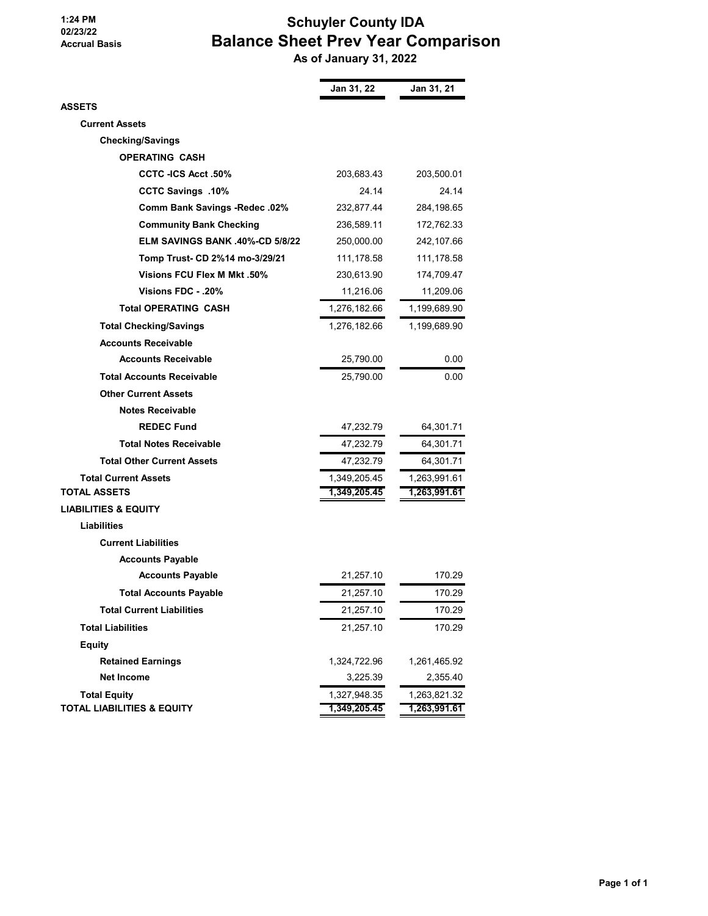#### **1:24 PM 02/23/22 Accrual Basis**

# **Schuyler County IDA Balance Sheet Prev Year Comparison**

 **As of January 31, 2022**

|                                       | Jan 31, 22   | Jan 31, 21   |
|---------------------------------------|--------------|--------------|
| ASSETS                                |              |              |
| <b>Current Assets</b>                 |              |              |
| <b>Checking/Savings</b>               |              |              |
| <b>OPERATING CASH</b>                 |              |              |
| <b>CCTC -ICS Acct .50%</b>            | 203,683.43   | 203,500.01   |
| <b>CCTC Savings .10%</b>              | 24.14        | 24.14        |
| <b>Comm Bank Savings -Redec .02%</b>  | 232,877.44   | 284,198.65   |
| <b>Community Bank Checking</b>        | 236,589.11   | 172,762.33   |
| ELM SAVINGS BANK .40%-CD 5/8/22       | 250,000.00   | 242,107.66   |
| Tomp Trust- CD 2%14 mo-3/29/21        | 111,178.58   | 111,178.58   |
| <b>Visions FCU Flex M Mkt .50%</b>    | 230,613.90   | 174,709.47   |
| .20%. - Visions FDC                   | 11,216.06    | 11,209.06    |
| <b>Total OPERATING CASH</b>           | 1,276,182.66 | 1,199,689.90 |
| <b>Total Checking/Savings</b>         | 1,276,182.66 | 1,199,689.90 |
| <b>Accounts Receivable</b>            |              |              |
| <b>Accounts Receivable</b>            | 25,790.00    | 0.00         |
| <b>Total Accounts Receivable</b>      | 25,790.00    | 0.00         |
| <b>Other Current Assets</b>           |              |              |
| <b>Notes Receivable</b>               |              |              |
| <b>REDEC Fund</b>                     | 47,232.79    | 64,301.71    |
| <b>Total Notes Receivable</b>         | 47,232.79    | 64,301.71    |
| <b>Total Other Current Assets</b>     | 47,232.79    | 64,301.71    |
| <b>Total Current Assets</b>           | 1,349,205.45 | 1,263,991.61 |
| <b>TOTAL ASSETS</b>                   | 1,349,205.45 | 1,263,991.61 |
| <b>LIABILITIES &amp; EQUITY</b>       |              |              |
| <b>Liabilities</b>                    |              |              |
| <b>Current Liabilities</b>            |              |              |
| <b>Accounts Payable</b>               |              |              |
| <b>Accounts Payable</b>               | 21,257.10    | 170.29       |
| <b>Total Accounts Payable</b>         | 21,257.10    | 170.29       |
| <b>Total Current Liabilities</b>      | 21,257.10    | 170.29       |
| <b>Total Liabilities</b>              | 21,257.10    | 170.29       |
| <b>Equity</b>                         |              |              |
| <b>Retained Earnings</b>              | 1,324,722.96 | 1,261,465.92 |
| <b>Net Income</b>                     | 3,225.39     | 2,355.40     |
| <b>Total Equity</b>                   | 1,327,948.35 | 1,263,821.32 |
| <b>TOTAL LIABILITIES &amp; EQUITY</b> | 1,349,205.45 | 1,263,991.61 |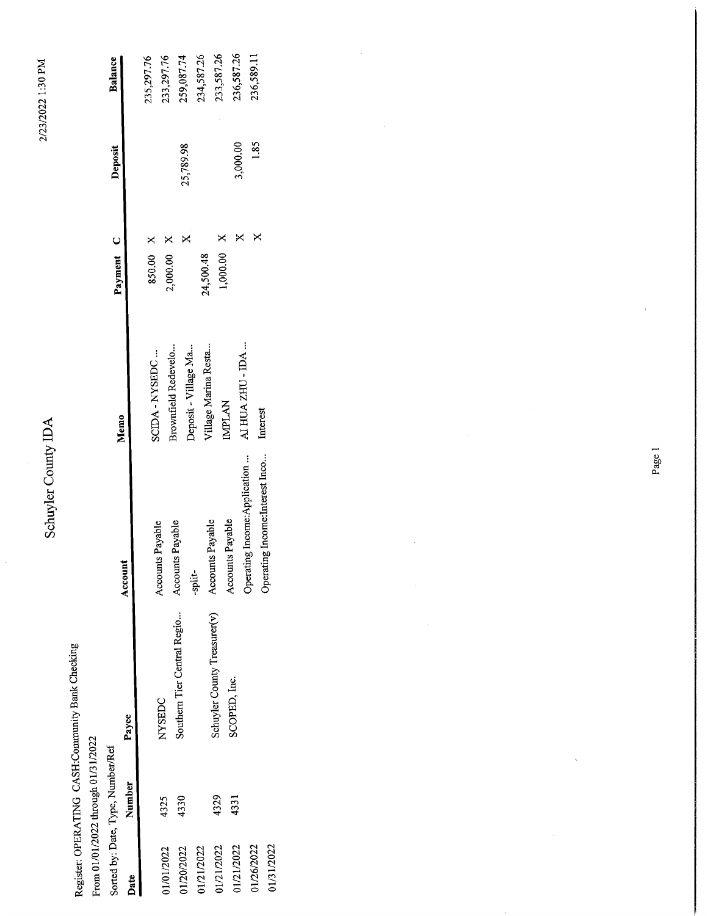# Schuyler County IDA

Register: OPERATING CASH:Community Bank Checking

From 01/01/2022 through 01/31/2022

| Sorted by: Date, Type, Number/Ref |        |                             |                  | <b>Memo</b>          | Payment C          | Deposit   | Balance    |
|-----------------------------------|--------|-----------------------------|------------------|----------------------|--------------------|-----------|------------|
| Date                              | Number | Payee                       | Account          |                      |                    |           |            |
|                                   |        |                             |                  | SCIDA - NYSEDC       | 850.00 X           |           | 235,297.76 |
| 1/01/2022                         | 4325   | NYSEDC                      | Accounts Payable |                      | $2,000.00 \quad X$ |           | 233,297.76 |
|                                   |        | Southern Tier Central Regio | Accounts Payable | Brownfield Redevelo. |                    |           |            |
| 01/20/2022                        | 4330   |                             |                  | Denosit - Village Ma |                    | 25,789.98 | 259,087.74 |

233,587.26 236,587.26 236,589.11

> 1.85 3,000.00

 $\times$   $\times$ 

 $AL$  HUA ZHU - IDA  $\ldots$ 

Interest

Operating Income:Interest Inco... Operating Income:Application ...

 $\mathsf{\overline{X}}$ 

 $1,000.00$ 24,500.48

Village Marina Resta...

**IMPLAN** 

Accounts Payable Accounts Payable

Schuyler County Treasurer(v)

SCOPED, Inc.

4331 4329

> 01/21/2022 01/26/2022 01/31/2022

01/21/2022 01/21/2022

-split-

Deposit - Village Ma...

234,587.26

2/23/2022 1:30 PM

Page 1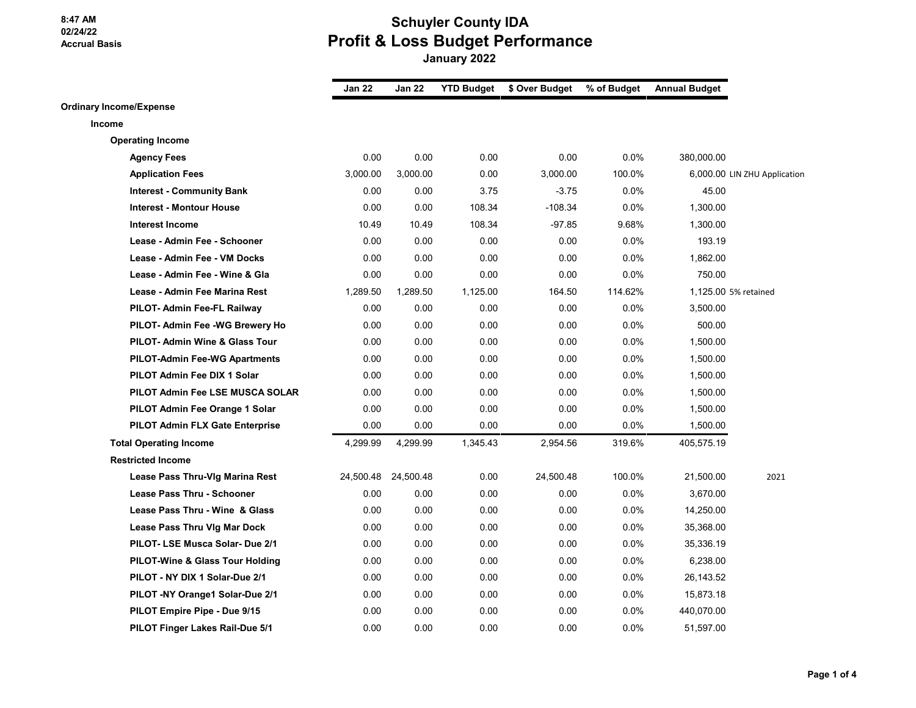# **Schuyler County IDA Profit & Loss Budget Performance**

 **January 2022**

|                                        | <b>Jan 22</b> | Jan 22              | <b>YTD Budget</b> | \$ Over Budget | % of Budget | <b>Annual Budget</b> |                              |
|----------------------------------------|---------------|---------------------|-------------------|----------------|-------------|----------------------|------------------------------|
| <b>Ordinary Income/Expense</b>         |               |                     |                   |                |             |                      |                              |
| Income                                 |               |                     |                   |                |             |                      |                              |
| <b>Operating Income</b>                |               |                     |                   |                |             |                      |                              |
| <b>Agency Fees</b>                     | 0.00          | 0.00                | 0.00              | 0.00           | 0.0%        | 380,000.00           |                              |
| <b>Application Fees</b>                | 3,000.00      | 3,000.00            | 0.00              | 3,000.00       | 100.0%      |                      | 6,000.00 LIN ZHU Application |
| <b>Interest - Community Bank</b>       | 0.00          | 0.00                | 3.75              | $-3.75$        | $0.0\%$     | 45.00                |                              |
| <b>Interest - Montour House</b>        | 0.00          | 0.00                | 108.34            | $-108.34$      | 0.0%        | 1,300.00             |                              |
| <b>Interest Income</b>                 | 10.49         | 10.49               | 108.34            | $-97.85$       | 9.68%       | 1,300.00             |                              |
| Lease - Admin Fee - Schooner           | 0.00          | 0.00                | 0.00              | 0.00           | $0.0\%$     | 193.19               |                              |
| Lease - Admin Fee - VM Docks           | 0.00          | 0.00                | 0.00              | 0.00           | 0.0%        | 1,862.00             |                              |
| Lease - Admin Fee - Wine & Gla         | 0.00          | 0.00                | 0.00              | 0.00           | 0.0%        | 750.00               |                              |
| Lease - Admin Fee Marina Rest          | 1,289.50      | 1,289.50            | 1,125.00          | 164.50         | 114.62%     |                      | 1,125.00 5% retained         |
| PILOT- Admin Fee-FL Railway            | 0.00          | 0.00                | 0.00              | 0.00           | 0.0%        | 3,500.00             |                              |
| PILOT- Admin Fee -WG Brewery Ho        | 0.00          | 0.00                | 0.00              | 0.00           | 0.0%        | 500.00               |                              |
| PILOT- Admin Wine & Glass Tour         | 0.00          | 0.00                | 0.00              | 0.00           | 0.0%        | 1,500.00             |                              |
| <b>PILOT-Admin Fee-WG Apartments</b>   | 0.00          | 0.00                | 0.00              | 0.00           | 0.0%        | 1,500.00             |                              |
| PILOT Admin Fee DIX 1 Solar            | 0.00          | 0.00                | 0.00              | 0.00           | 0.0%        | 1,500.00             |                              |
| PILOT Admin Fee LSE MUSCA SOLAR        | 0.00          | 0.00                | 0.00              | 0.00           | 0.0%        | 1,500.00             |                              |
| PILOT Admin Fee Orange 1 Solar         | 0.00          | 0.00                | 0.00              | 0.00           | 0.0%        | 1,500.00             |                              |
| <b>PILOT Admin FLX Gate Enterprise</b> | 0.00          | 0.00                | 0.00              | 0.00           | $0.0\%$     | 1,500.00             |                              |
| <b>Total Operating Income</b>          | 4,299.99      | 4,299.99            | 1,345.43          | 2,954.56       | 319.6%      | 405,575.19           |                              |
| <b>Restricted Income</b>               |               |                     |                   |                |             |                      |                              |
| Lease Pass Thru-Vig Marina Rest        |               | 24,500.48 24,500.48 | 0.00              | 24,500.48      | 100.0%      | 21,500.00            | 2021                         |
| <b>Lease Pass Thru - Schooner</b>      | 0.00          | 0.00                | 0.00              | 0.00           | 0.0%        | 3,670.00             |                              |
| Lease Pass Thru - Wine & Glass         | 0.00          | 0.00                | 0.00              | 0.00           | 0.0%        | 14,250.00            |                              |
| Lease Pass Thru Vig Mar Dock           | 0.00          | 0.00                | 0.00              | 0.00           | 0.0%        | 35,368.00            |                              |
| PILOT- LSE Musca Solar- Due 2/1        | 0.00          | 0.00                | 0.00              | 0.00           | 0.0%        | 35,336.19            |                              |
| PILOT-Wine & Glass Tour Holding        | 0.00          | 0.00                | 0.00              | 0.00           | $0.0\%$     | 6,238.00             |                              |
| PILOT - NY DIX 1 Solar-Due 2/1         | 0.00          | 0.00                | 0.00              | 0.00           | $0.0\%$     | 26,143.52            |                              |
| PILOT -NY Orange1 Solar-Due 2/1        | 0.00          | 0.00                | 0.00              | 0.00           | 0.0%        | 15,873.18            |                              |
| PILOT Empire Pipe - Due 9/15           | 0.00          | 0.00                | 0.00              | 0.00           | 0.0%        | 440,070.00           |                              |
| <b>PILOT Finger Lakes Rail-Due 5/1</b> | 0.00          | 0.00                | 0.00              | 0.00           | 0.0%        | 51.597.00            |                              |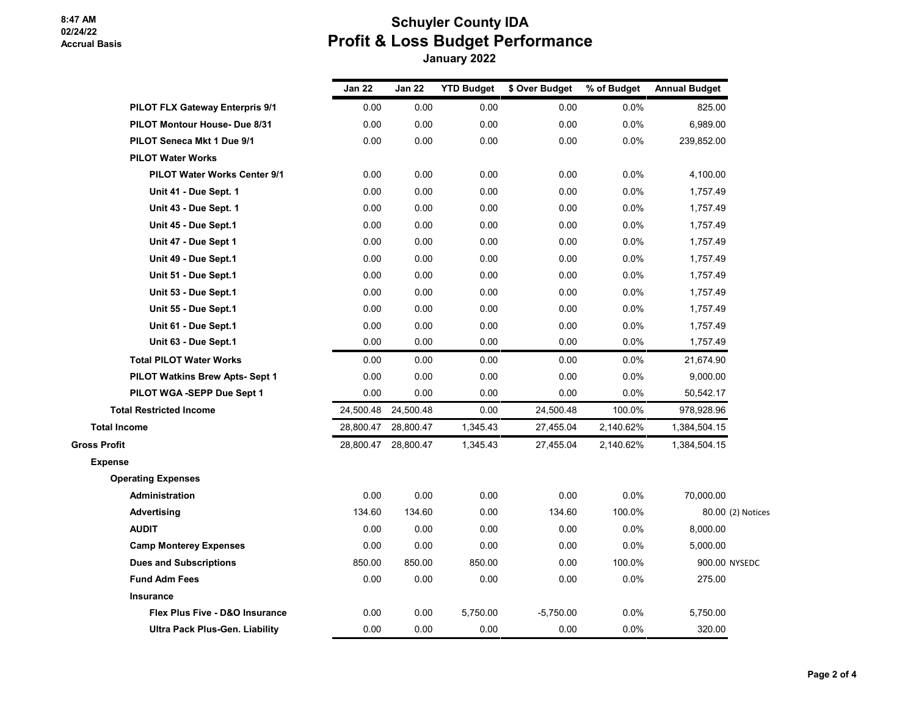# **Schuyler County IDA Profit & Loss Budget Performance January 2022**

|                                           | <b>Jan 22</b> | <b>Jan 22</b>       | <b>YTD Budget</b> | \$ Over Budget | % of Budget | <b>Annual Budget</b> |
|-------------------------------------------|---------------|---------------------|-------------------|----------------|-------------|----------------------|
| <b>PILOT FLX Gateway Enterpris 9/1</b>    | 0.00          | 0.00                | 0.00              | 0.00           | 0.0%        | 825.00               |
| PILOT Montour House- Due 8/31             | 0.00          | 0.00                | 0.00              | 0.00           | 0.0%        | 6,989.00             |
| PILOT Seneca Mkt 1 Due 9/1                | 0.00          | 0.00                | 0.00              | 0.00           | 0.0%        | 239,852.00           |
| <b>PILOT Water Works</b>                  |               |                     |                   |                |             |                      |
| <b>PILOT Water Works Center 9/1</b>       | 0.00          | 0.00                | 0.00              | 0.00           | 0.0%        | 4,100.00             |
| Unit 41 - Due Sept. 1                     | 0.00          | 0.00                | 0.00              | 0.00           | 0.0%        | 1,757.49             |
| Unit 43 - Due Sept. 1                     | 0.00          | 0.00                | 0.00              | 0.00           | 0.0%        | 1,757.49             |
| Unit 45 - Due Sept.1                      | 0.00          | 0.00                | 0.00              | 0.00           | 0.0%        | 1,757.49             |
| Unit 47 - Due Sept 1                      | 0.00          | 0.00                | 0.00              | 0.00           | 0.0%        | 1,757.49             |
| Unit 49 - Due Sept.1                      | 0.00          | 0.00                | 0.00              | 0.00           | 0.0%        | 1,757.49             |
| Unit 51 - Due Sept.1                      | 0.00          | 0.00                | 0.00              | 0.00           | 0.0%        | 1,757.49             |
| Unit 53 - Due Sept.1                      | 0.00          | 0.00                | 0.00              | 0.00           | 0.0%        | 1,757.49             |
| Unit 55 - Due Sept.1                      | 0.00          | 0.00                | 0.00              | 0.00           | 0.0%        | 1,757.49             |
| Unit 61 - Due Sept.1                      | 0.00          | 0.00                | 0.00              | 0.00           | 0.0%        | 1,757.49             |
| Unit 63 - Due Sept.1                      | 0.00          | 0.00                | 0.00              | 0.00           | 0.0%        | 1,757.49             |
| <b>Total PILOT Water Works</b>            | 0.00          | 0.00                | 0.00              | 0.00           | 0.0%        | 21,674.90            |
| PILOT Watkins Brew Apts- Sept 1           | 0.00          | 0.00                | 0.00              | 0.00           | 0.0%        | 9,000.00             |
| PILOT WGA -SEPP Due Sept 1                | 0.00          | 0.00                | 0.00              | 0.00           | 0.0%        | 50,542.17            |
| <b>Total Restricted Income</b>            | 24,500.48     | 24,500.48           | 0.00              | 24,500.48      | 100.0%      | 978,928.96           |
| <b>Total Income</b>                       | 28,800.47     | 28,800.47           | 1,345.43          | 27,455.04      | 2,140.62%   | 1,384,504.15         |
| <b>Gross Profit</b>                       |               | 28,800.47 28,800.47 | 1,345.43          | 27,455.04      | 2,140.62%   | 1,384,504.15         |
| <b>Expense</b>                            |               |                     |                   |                |             |                      |
| <b>Operating Expenses</b>                 |               |                     |                   |                |             |                      |
| Administration                            | 0.00          | 0.00                | 0.00              | 0.00           | 0.0%        | 70,000.00            |
| Advertising                               | 134.60        | 134.60              | 0.00              | 134.60         | 100.0%      | 80.00 (2) Notices    |
| <b>AUDIT</b>                              | 0.00          | 0.00                | 0.00              | 0.00           | 0.0%        | 8,000.00             |
| <b>Camp Monterey Expenses</b>             | 0.00          | 0.00                | 0.00              | 0.00           | 0.0%        | 5,000.00             |
| <b>Dues and Subscriptions</b>             | 850.00        | 850.00              | 850.00            | 0.00           | 100.0%      | 900.00 NYSEDC        |
| <b>Fund Adm Fees</b>                      | 0.00          | 0.00                | 0.00              | 0.00           | 0.0%        | 275.00               |
| <b>Insurance</b>                          |               |                     |                   |                |             |                      |
| <b>Flex Plus Five - D&amp;O Insurance</b> | 0.00          | 0.00                | 5,750.00          | $-5,750.00$    | 0.0%        | 5,750.00             |
| <b>Ultra Pack Plus-Gen. Liability</b>     | 0.00          | 0.00                | 0.00              | 0.00           | 0.0%        | 320.00               |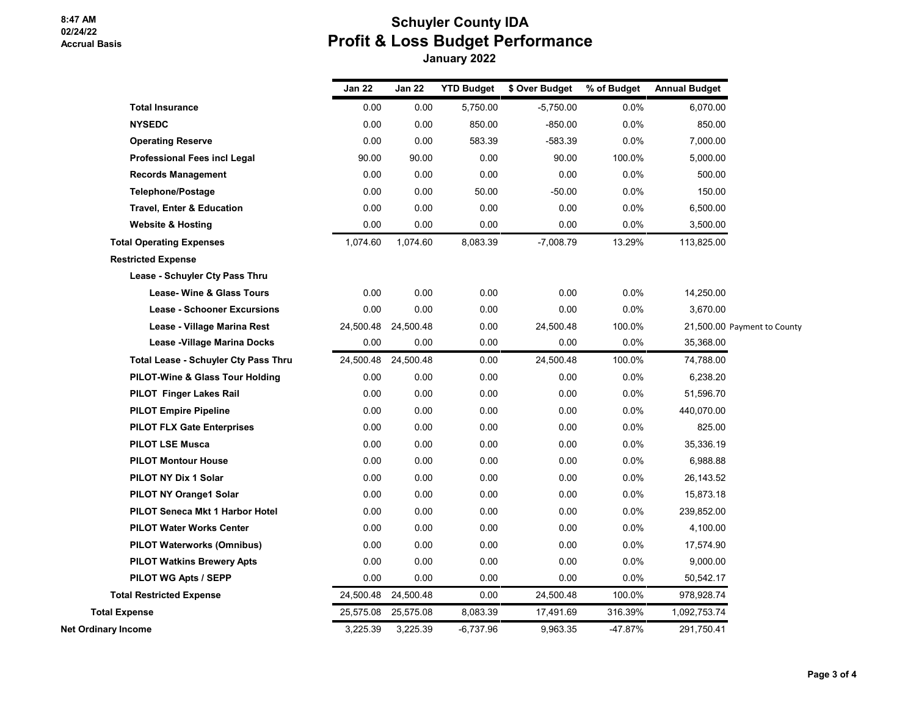## **Schuyler County IDA Profit & Loss Budget Performance January 2022**

|                                             | Jan 22    | Jan 22              | <b>YTD Budget</b> | \$ Over Budget | % of Budget | <b>Annual Budget</b> |                             |
|---------------------------------------------|-----------|---------------------|-------------------|----------------|-------------|----------------------|-----------------------------|
| <b>Total Insurance</b>                      | 0.00      | 0.00                | 5,750.00          | $-5,750.00$    | 0.0%        | 6,070.00             |                             |
| <b>NYSEDC</b>                               | 0.00      | 0.00                | 850.00            | $-850.00$      | 0.0%        | 850.00               |                             |
| <b>Operating Reserve</b>                    | 0.00      | 0.00                | 583.39            | $-583.39$      | 0.0%        | 7,000.00             |                             |
| <b>Professional Fees incl Legal</b>         | 90.00     | 90.00               | 0.00              | 90.00          | 100.0%      | 5,000.00             |                             |
| <b>Records Management</b>                   | 0.00      | 0.00                | 0.00              | 0.00           | 0.0%        | 500.00               |                             |
| <b>Telephone/Postage</b>                    | 0.00      | 0.00                | 50.00             | $-50.00$       | 0.0%        | 150.00               |                             |
| Travel, Enter & Education                   | 0.00      | 0.00                | 0.00              | 0.00           | 0.0%        | 6,500.00             |                             |
| <b>Website &amp; Hosting</b>                | 0.00      | 0.00                | 0.00              | 0.00           | $0.0\%$     | 3,500.00             |                             |
| <b>Total Operating Expenses</b>             | 1,074.60  | 1,074.60            | 8,083.39          | $-7,008.79$    | 13.29%      | 113,825.00           |                             |
| <b>Restricted Expense</b>                   |           |                     |                   |                |             |                      |                             |
| Lease - Schuyler Cty Pass Thru              |           |                     |                   |                |             |                      |                             |
| Lease- Wine & Glass Tours                   | 0.00      | 0.00                | 0.00              | 0.00           | 0.0%        | 14,250.00            |                             |
| <b>Lease - Schooner Excursions</b>          | 0.00      | 0.00                | 0.00              | 0.00           | 0.0%        | 3,670.00             |                             |
| Lease - Village Marina Rest                 | 24,500.48 | 24,500.48           | 0.00              | 24,500.48      | 100.0%      |                      | 21,500.00 Payment to County |
| Lease - Village Marina Docks                | 0.00      | 0.00                | 0.00              | 0.00           | 0.0%        | 35,368.00            |                             |
| <b>Total Lease - Schuyler Cty Pass Thru</b> |           | 24,500.48 24,500.48 | 0.00              | 24,500.48      | 100.0%      | 74,788.00            |                             |
| <b>PILOT-Wine &amp; Glass Tour Holding</b>  | 0.00      | 0.00                | 0.00              | 0.00           | 0.0%        | 6,238.20             |                             |
| PILOT Finger Lakes Rail                     | 0.00      | 0.00                | 0.00              | 0.00           | 0.0%        | 51,596.70            |                             |
| <b>PILOT Empire Pipeline</b>                | 0.00      | 0.00                | 0.00              | 0.00           | 0.0%        | 440,070.00           |                             |
| <b>PILOT FLX Gate Enterprises</b>           | 0.00      | 0.00                | 0.00              | 0.00           | 0.0%        | 825.00               |                             |
| <b>PILOT LSE Musca</b>                      | 0.00      | 0.00                | 0.00              | 0.00           | 0.0%        | 35,336.19            |                             |
| <b>PILOT Montour House</b>                  | 0.00      | 0.00                | 0.00              | 0.00           | 0.0%        | 6,988.88             |                             |
| PILOT NY Dix 1 Solar                        | 0.00      | 0.00                | 0.00              | 0.00           | 0.0%        | 26,143.52            |                             |
| <b>PILOT NY Orange1 Solar</b>               | 0.00      | 0.00                | 0.00              | 0.00           | 0.0%        | 15,873.18            |                             |
| PILOT Seneca Mkt 1 Harbor Hotel             | 0.00      | 0.00                | 0.00              | 0.00           | 0.0%        | 239,852.00           |                             |
| <b>PILOT Water Works Center</b>             | 0.00      | 0.00                | 0.00              | 0.00           | 0.0%        | 4,100.00             |                             |
| <b>PILOT Waterworks (Omnibus)</b>           | 0.00      | 0.00                | 0.00              | 0.00           | 0.0%        | 17,574.90            |                             |
| <b>PILOT Watkins Brewery Apts</b>           | 0.00      | 0.00                | 0.00              | 0.00           | 0.0%        | 9,000.00             |                             |
| PILOT WG Apts / SEPP                        | 0.00      | 0.00                | 0.00              | 0.00           | 0.0%        | 50,542.17            |                             |
| <b>Total Restricted Expense</b>             | 24,500.48 | 24,500.48           | 0.00              | 24,500.48      | 100.0%      | 978,928.74           |                             |
| <b>Total Expense</b>                        | 25,575.08 | 25,575.08           | 8,083.39          | 17,491.69      | 316.39%     | 1,092,753.74         |                             |
| Net Ordinary Income                         | 3,225.39  | 3,225.39            | -6,737.96         | 9,963.35       | -47.87%     | 291,750.41           |                             |
|                                             |           |                     |                   |                |             |                      |                             |